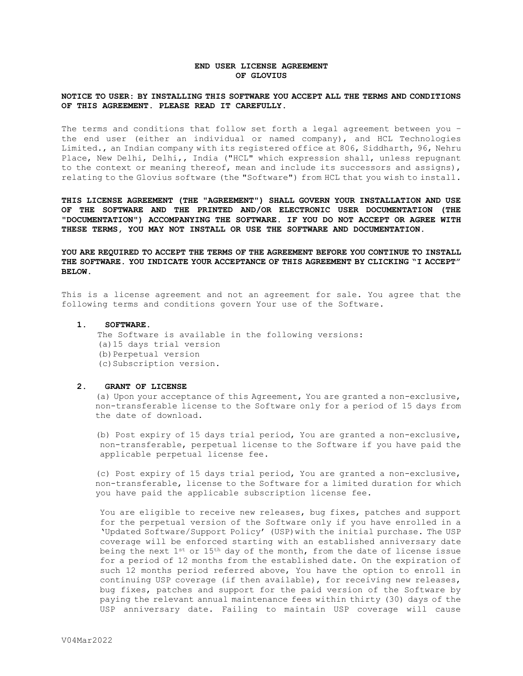# **END USER LICENSE AGREEMENT OF GLOVIUS**

## **NOTICE TO USER: BY INSTALLING THIS SOFTWARE YOU ACCEPT ALL THE TERMS AND CONDITIONS OF THIS AGREEMENT. PLEASE READ IT CAREFULLY.**

The terms and conditions that follow set forth a legal agreement between you – the end user (either an individual or named company), and HCL Technologies Limited., an Indian company with its registered office at 806, Siddharth, 96, Nehru Place, New Delhi, Delhi,, India ("HCL" which expression shall, unless repugnant to the context or meaning thereof, mean and include its successors and assigns), relating to the Glovius software (the "Software") from HCL that you wish to install.

**THIS LICENSE AGREEMENT (THE "AGREEMENT") SHALL GOVERN YOUR INSTALLATION AND USE OF THE SOFTWARE AND THE PRINTED AND/OR ELECTRONIC USER DOCUMENTATION (THE "DOCUMENTATION") ACCOMPANYING THE SOFTWARE. IF YOU DO NOT ACCEPT OR AGREE WITH THESE TERMS, YOU MAY NOT INSTALL OR USE THE SOFTWARE AND DOCUMENTATION.** 

**YOU ARE REQUIRED TO ACCEPT THE TERMS OF THE AGREEMENT BEFORE YOU CONTINUE TO INSTALL THE SOFTWARE. YOU INDICATE YOUR ACCEPTANCE OF THIS AGREEMENT BY CLICKING "I ACCEPT" BELOW.**

This is a license agreement and not an agreement for sale. You agree that the following terms and conditions govern Your use of the Software.

## **1. SOFTWARE.**

The Software is available in the following versions: (a)15 days trial version (b) Perpetual version (c)Subscription version.

#### **2. GRANT OF LICENSE**

(a) Upon your acceptance of this Agreement, You are granted a non-exclusive, non-transferable license to the Software only for a period of 15 days from the date of download.

(b) Post expiry of 15 days trial period, You are granted a non-exclusive, non-transferable, perpetual license to the Software if you have paid the applicable perpetual license fee.

(c) Post expiry of 15 days trial period, You are granted a non-exclusive, non-transferable, license to the Software for a limited duration for which you have paid the applicable subscription license fee.

You are eligible to receive new releases, bug fixes, patches and support for the perpetual version of the Software only if you have enrolled in a 'Updated Software/Support Policy' (USP)with the initial purchase. The USP coverage will be enforced starting with an established anniversary date being the next  $1^{st}$  or  $15^{th}$  day of the month, from the date of license issue for a period of 12 months from the established date. On the expiration of such 12 months period referred above, You have the option to enroll in continuing USP coverage (if then available), for receiving new releases, bug fixes, patches and support for the paid version of the Software by paying the relevant annual maintenance fees within thirty (30) days of the USP anniversary date. Failing to maintain USP coverage will cause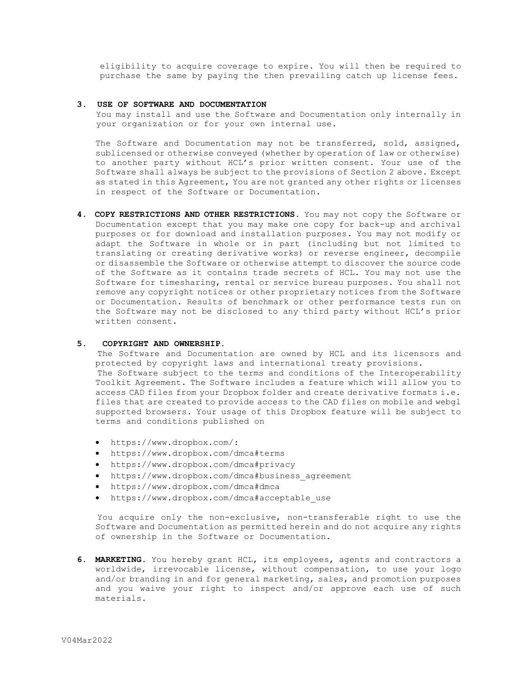eligibility to acquire coverage to expire. You will then be required to purchase the same by paying the then prevailing catch up license fees.

## **3. USE OF SOFTWARE AND DOCUMENTATION**

You may install and use the Software and Documentation only internally in your organization or for your own internal use.

The Software and Documentation may not be transferred, sold, assigned, sublicensed or otherwise conveyed (whether by operation of law or otherwise) to another party without HCL's prior written consent. Your use of the Software shall always be subject to the provisions of Section 2 above. Except as stated in this Agreement, You are not granted any other rights or licenses in respect of the Software or Documentation.

**4. COPY RESTRICTIONS AND OTHER RESTRICTIONS.** You may not copy the Software or Documentation except that you may make one copy for back-up and archival purposes or for download and installation purposes. You may not modify or adapt the Software in whole or in part (including but not limited to translating or creating derivative works) or reverse engineer, decompile or disassemble the Software or otherwise attempt to discover the source code of the Software as it contains trade secrets of HCL. You may not use the Software for timesharing, rental or service bureau purposes. You shall not remove any copyright notices or other proprietary notices from the Software or Documentation. Results of benchmark or other performance tests run on the Software may not be disclosed to any third party without HCL's prior written consent.

# **5. COPYRIGHT AND OWNERSHIP.**

The Software and Documentation are owned by HCL and its licensors and protected by copyright laws and international treaty provisions. The Software subject to the terms and conditions of the Interoperability Toolkit Agreement. The Software includes a feature which will allow you to access CAD files from your Dropbox folder and create derivative formats i.e. files that are created to provide access to the CAD files on mobile and webgl supported browsers. Your usage of this Dropbox feature will be subject to terms and conditions published on

- [https://www.dropbox.com/:](https://www.dropbox.com/)
- <https://www.dropbox.com/dmca#terms>
- <https://www.dropbox.com/dmca#privacy>
- https://www.dropbox.com/dmca#business agreement
- <https://www.dropbox.com/dmca#dmca>
- [https://www.dropbox.com/dmca#acceptable\\_use](https://www.dropbox.com/dmca#acceptable_use)

You acquire only the non-exclusive, non-transferable right to use the Software and Documentation as permitted herein and do not acquire any rights of ownership in the Software or Documentation.

**6. MARKETING.** You hereby grant HCL, its employees, agents and contractors a worldwide, irrevocable license, without compensation, to use your logo and/or branding in and for general marketing, sales, and promotion purposes and you waive your right to inspect and/or approve each use of such materials.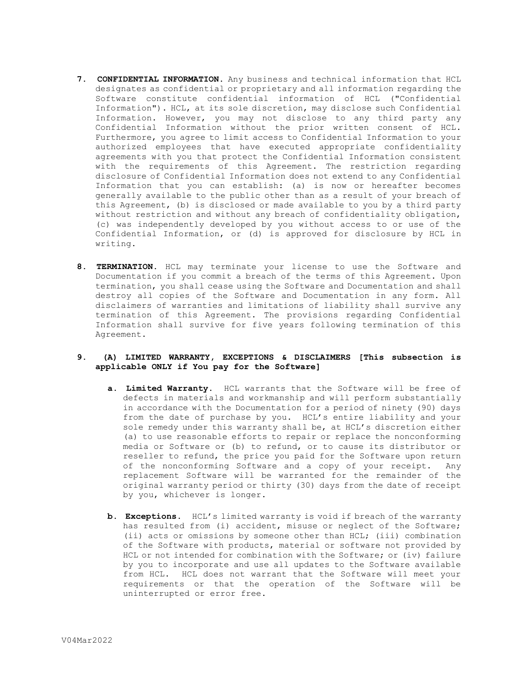- **7. CONFIDENTIAL INFORMATION.** Any business and technical information that HCL designates as confidential or proprietary and all information regarding the Software constitute confidential information of HCL ("Confidential Information"). HCL, at its sole discretion, may disclose such Confidential Information. However, you may not disclose to any third party any Confidential Information without the prior written consent of HCL. Furthermore, you agree to limit access to Confidential Information to your authorized employees that have executed appropriate confidentiality agreements with you that protect the Confidential Information consistent with the requirements of this Agreement. The restriction regarding disclosure of Confidential Information does not extend to any Confidential Information that you can establish: (a) is now or hereafter becomes generally available to the public other than as a result of your breach of this Agreement, (b) is disclosed or made available to you by a third party without restriction and without any breach of confidentiality obligation, (c) was independently developed by you without access to or use of the Confidential Information, or (d) is approved for disclosure by HCL in writing.
- **8. TERMINATION.** HCL may terminate your license to use the Software and Documentation if you commit a breach of the terms of this Agreement. Upon termination, you shall cease using the Software and Documentation and shall destroy all copies of the Software and Documentation in any form. All disclaimers of warranties and limitations of liability shall survive any termination of this Agreement. The provisions regarding Confidential Information shall survive for five years following termination of this Agreement.

# **9. (A) LIMITED WARRANTY, EXCEPTIONS & DISCLAIMERS [This subsection is applicable ONLY if You pay for the Software]**

- **a. Limited Warranty.** HCL warrants that the Software will be free of defects in materials and workmanship and will perform substantially in accordance with the Documentation for a period of ninety (90) days from the date of purchase by you. HCL's entire liability and your sole remedy under this warranty shall be, at HCL's discretion either (a) to use reasonable efforts to repair or replace the nonconforming media or Software or (b) to refund, or to cause its distributor or reseller to refund, the price you paid for the Software upon return of the nonconforming Software and a copy of your receipt. Any replacement Software will be warranted for the remainder of the original warranty period or thirty (30) days from the date of receipt by you, whichever is longer.
- **b. Exceptions.** HCL's limited warranty is void if breach of the warranty has resulted from (i) accident, misuse or neglect of the Software; (ii) acts or omissions by someone other than HCL; (iii) combination of the Software with products, material or software not provided by HCL or not intended for combination with the Software; or (iv) failure by you to incorporate and use all updates to the Software available from HCL. HCL does not warrant that the Software will meet your requirements or that the operation of the Software will be uninterrupted or error free.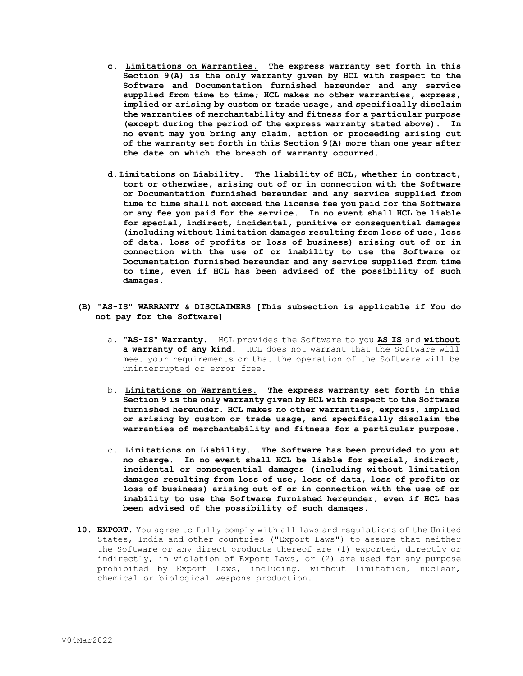- **c. Limitations on Warranties. The express warranty set forth in this Section 9(A) is the only warranty given by HCL with respect to the Software and Documentation furnished hereunder and any service supplied from time to time; HCL makes no other warranties, express, implied or arising by custom or trade usage, and specifically disclaim the warranties of merchantability and fitness for a particular purpose (except during the period of the express warranty stated above). In no event may you bring any claim, action or proceeding arising out of the warranty set forth in this Section 9(A) more than one year after the date on which the breach of warranty occurred.**
- **d. Limitations on Liability. The liability of HCL, whether in contract, tort or otherwise, arising out of or in connection with the Software or Documentation furnished hereunder and any service supplied from time to time shall not exceed the license fee you paid for the Software or any fee you paid for the service. In no event shall HCL be liable for special, indirect, incidental, punitive or consequential damages (including without limitation damages resulting from loss of use, loss of data, loss of profits or loss of business) arising out of or in connection with the use of or inability to use the Software or Documentation furnished hereunder and any service supplied from time to time, even if HCL has been advised of the possibility of such damages.**
- **(B) "AS-IS" WARRANTY & DISCLAIMERS [This subsection is applicable if You do not pay for the Software]**
	- a. **"AS-IS" Warranty.** HCL provides the Software to you **AS IS** and **without a warranty of any kind.** HCL does not warrant that the Software will meet your requirements or that the operation of the Software will be uninterrupted or error free**.**
	- b. **Limitations on Warranties. The express warranty set forth in this Section 9 is the only warranty given by HCL with respect to the Software furnished hereunder. HCL makes no other warranties, express, implied or arising by custom or trade usage, and specifically disclaim the warranties of merchantability and fitness for a particular purpose.**
	- c. **Limitations on Liability. The Software has been provided to you at no charge. In no event shall HCL be liable for special, indirect, incidental or consequential damages (including without limitation damages resulting from loss of use, loss of data, loss of profits or loss of business) arising out of or in connection with the use of or inability to use the Software furnished hereunder, even if HCL has been advised of the possibility of such damages.**
- **10. EXPORT.** You agree to fully comply with all laws and regulations of the United States, India and other countries ("Export Laws") to assure that neither the Software or any direct products thereof are (1) exported, directly or indirectly, in violation of Export Laws, or (2) are used for any purpose prohibited by Export Laws, including, without limitation, nuclear, chemical or biological weapons production.